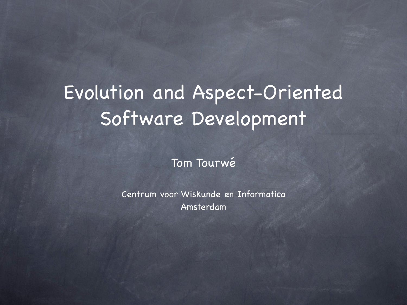#### Evolution and Aspect-Oriented Software Development

Tom Tourwé

Centrum voor Wiskunde en Informatica Amsterdam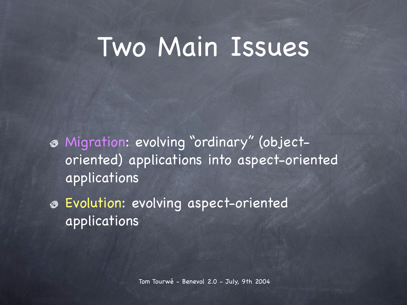## Two Main Issues

- Migration: evolving " ordinary" (objectoriented) applications into aspect-oriented applications
- Evolution: evolving aspect-oriented applications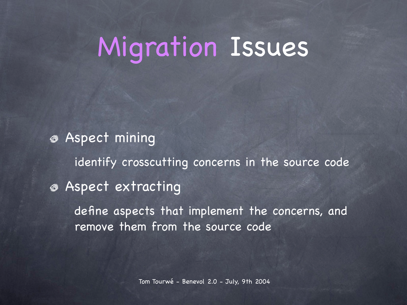# Migration Issues

Aspect mining identify crosscutting concerns in the source code Aspect extracting define aspects that implement the concerns, and remove them from the source code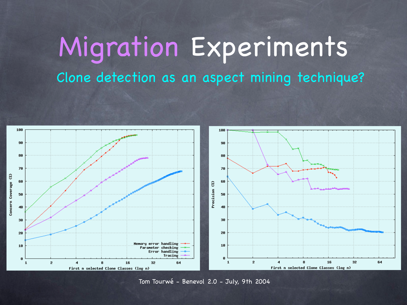### Migration Experiments Clone detection as an aspect mining technique?



Tom Tourwé - Benevol 2.0 - July, 9th 2004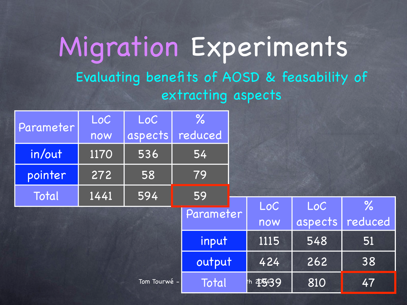#### Migration Experiments Evaluating benefits of AOSD & feasability of extracting aspects

| Parameter    | LoC  | LoC     | $\frac{9}{6}$ |                  |      |         |               |
|--------------|------|---------|---------------|------------------|------|---------|---------------|
|              | now  | aspects | reduced       |                  |      |         |               |
| in/out       | 1170 | 536     | 54            |                  |      |         |               |
| pointer      | 272  | 58      | 79            |                  |      |         |               |
| Total        | 1441 | 594     | 59            |                  |      |         |               |
|              |      |         | Parameter     |                  | LoC  | LoC     | $\frac{9}{6}$ |
|              |      |         |               |                  | now  | aspects | reduced       |
|              |      |         | input         |                  | 1115 | 548     | 51            |
|              |      |         | output        |                  | 424  | 262     | 38            |
| Tom Tourwé - |      |         | Total         | th <b>495439</b> |      | 810     | 47            |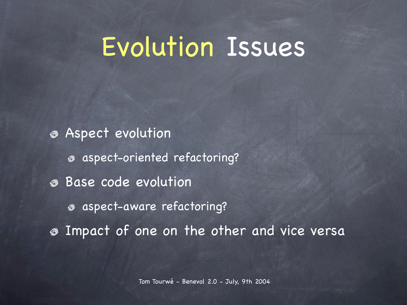### Evolution Issues

Aspect evolution aspect-oriented refactoring? Base code evolution aspect-aware refactoring? Impact of one on the other and vice versa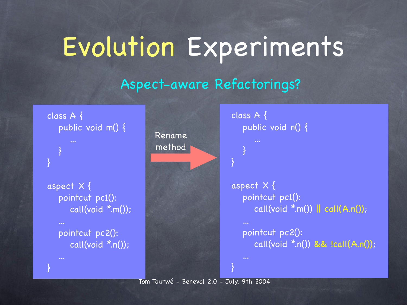# Evolution Experiments

#### Aspect-aware Refactorings?



Tom Tourwé - Benevol 2.0 - July, 9th 2004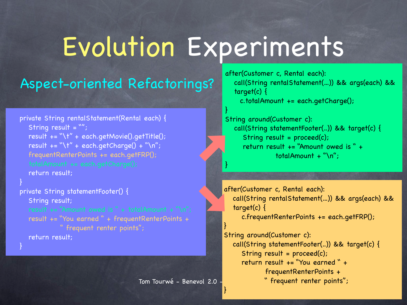# Evolution Experiments

}

}

}

}

Tom Tourwé - Benevol 2.0

#### Aspect-oriented Refactorings?

```
private String rentalStatement(Rental each) {
 String result = "";
 result += "\t" + each.getMovie().getTitle();
result += "\t" + each.getCharge() + "\n";
 frequentRenterPoints += each.getFRP();
 return result;
```
}

}

```
private String statementFooter() {
 String result;
 result += "You earned " + frequentRenterPoints + 
            " frequent renter points";
 return result;
```
after(Customer c, Rental each): call(String rentalStatement(...)) && args(each) && target(c) {

c.totalAmount += each.getCharge();

```
String around(Customer c):
  call(String statementFooter(..)) && target(c) {
    String result = proceed(c);
    return result += "Amount owed is " + 
               totalAmount + "\n";
```
after(Customer c, Rental each): call(String rentalStatement(...)) && args(each) && target(c) { c.frequentRenterPoints += each.getFRP();

String around(Customer c): call(String statementFooter(..)) && target(c) { String result = proceed(c); return result += "You earned " + frequentRenterPoints + " frequent renter points";